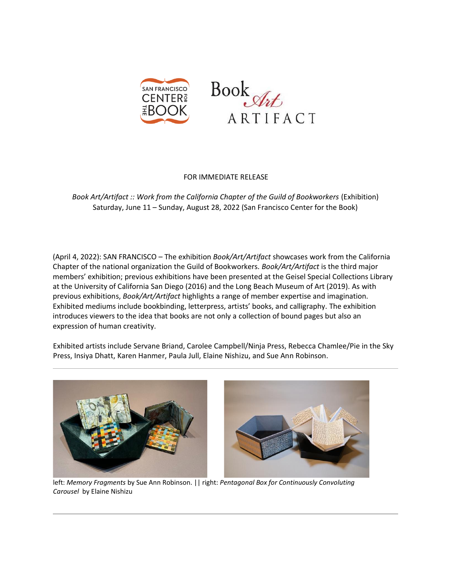



## FOR IMMEDIATE RELEASE

*Book Art/Artifact :: Work from the California Chapter of the Guild of Bookworkers* (Exhibition) Saturday, June 11 – Sunday, August 28, 2022 (San Francisco Center for the Book)

(April 4, 2022): SAN FRANCISCO – The exhibition *Book/Art/Artifact* showcases work from the California Chapter of the national organization the Guild of Bookworkers. *Book/Art/Artifact* is the third major members' exhibition; previous exhibitions have been presented at the Geisel Special Collections Library at the University of California San Diego (2016) and the Long Beach Museum of Art (2019). As with previous exhibitions, *Book/Art/Artifact* highlights a range of member expertise and imagination. Exhibited mediums include bookbinding, letterpress, artists' books, and calligraphy. The exhibition introduces viewers to the idea that books are not only a collection of bound pages but also an expression of human creativity.

Exhibited artists include Servane Briand, Carolee Campbell/Ninja Press, Rebecca Chamlee/Pie in the Sky Press, Insiya Dhatt, Karen Hanmer, Paula Jull, Elaine Nishizu, and Sue Ann Robinson.



left: *Memory Fragments* by Sue Ann Robinson. || right: *Pentagonal Box for Continuously Convoluting Carousel* by Elaine Nishizu